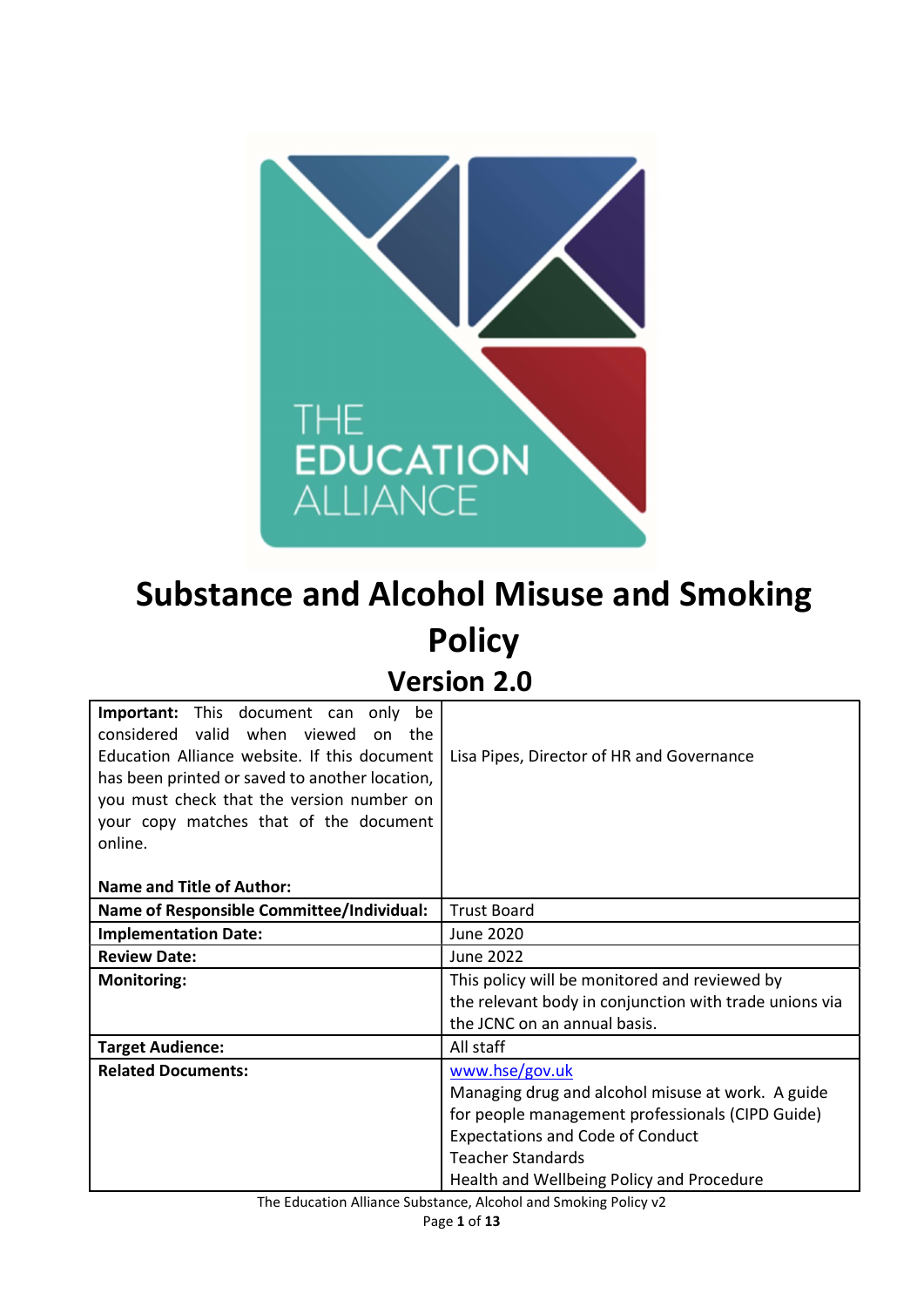

# Substance and Alcohol Misuse and Smoking **Policy** Version 2.0

| <b>Important:</b> This document can only<br>be   |                                                        |
|--------------------------------------------------|--------------------------------------------------------|
| considered valid when viewed<br>on the           |                                                        |
| Education Alliance website. If this document     | Lisa Pipes, Director of HR and Governance              |
| has been printed or saved to another location,   |                                                        |
| you must check that the version number on        |                                                        |
| your copy matches that of the document           |                                                        |
| online.                                          |                                                        |
|                                                  |                                                        |
| Name and Title of Author:                        |                                                        |
| <b>Name of Responsible Committee/Individual:</b> | <b>Trust Board</b>                                     |
| <b>Implementation Date:</b>                      | June 2020                                              |
| <b>Review Date:</b>                              | June 2022                                              |
| <b>Monitoring:</b>                               | This policy will be monitored and reviewed by          |
|                                                  | the relevant body in conjunction with trade unions via |
|                                                  | the JCNC on an annual basis.                           |
| <b>Target Audience:</b>                          | All staff                                              |
| <b>Related Documents:</b>                        | www.hse/gov.uk                                         |
|                                                  | Managing drug and alcohol misuse at work. A guide      |
|                                                  | for people management professionals (CIPD Guide)       |
|                                                  | <b>Expectations and Code of Conduct</b>                |
|                                                  | <b>Teacher Standards</b>                               |
|                                                  | Health and Wellbeing Policy and Procedure              |

The Education Alliance Substance, Alcohol and Smoking Policy v2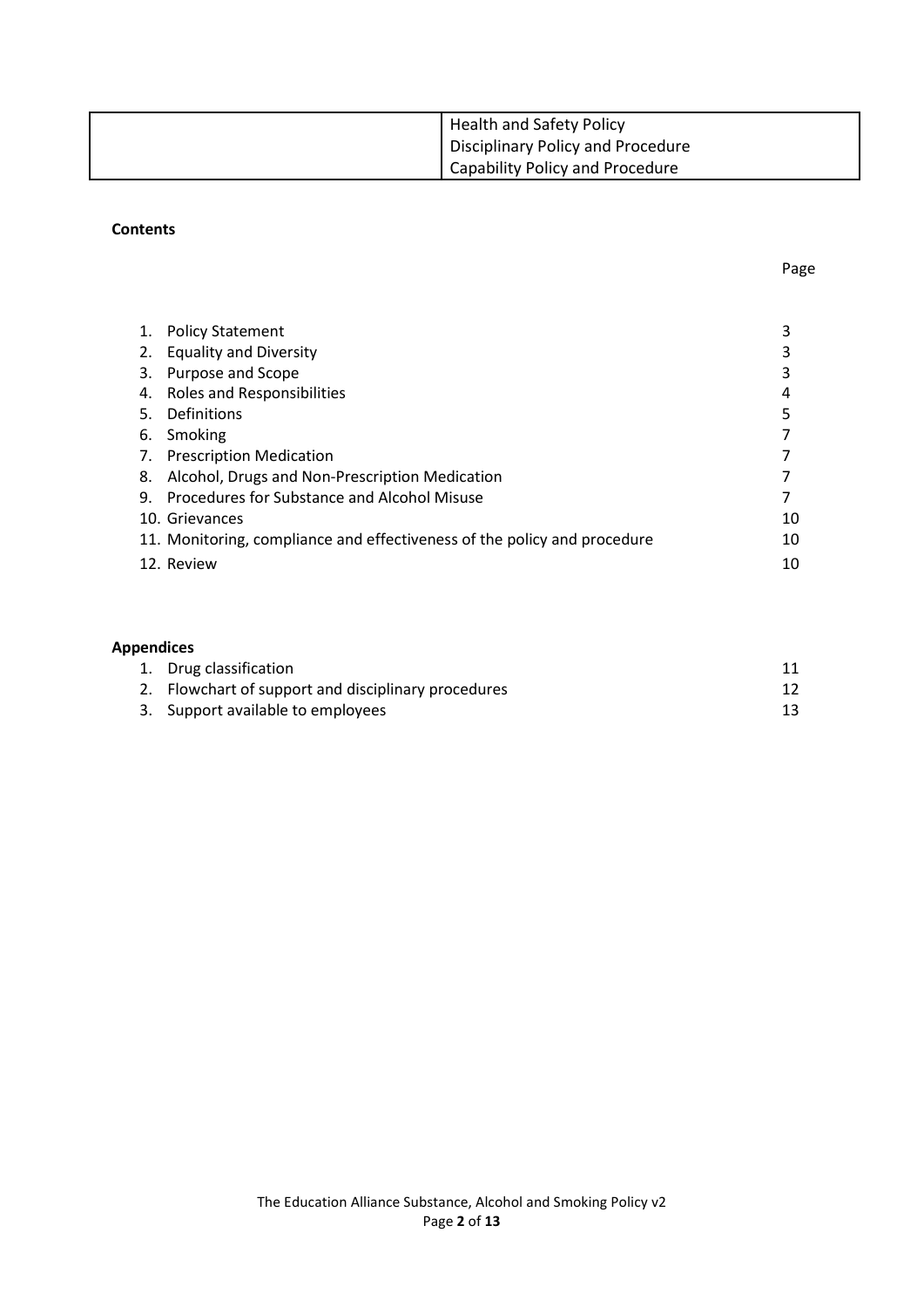| Health and Safety Policy                 |
|------------------------------------------|
| <b>Disciplinary Policy and Procedure</b> |
| <b>Capability Policy and Procedure</b>   |

#### **Contents**

| 1. | <b>Policy Statement</b>                                                  |    |
|----|--------------------------------------------------------------------------|----|
|    | 2. Equality and Diversity                                                |    |
|    | 3. Purpose and Scope                                                     |    |
|    | 4. Roles and Responsibilities                                            | 4  |
| 5. | Definitions                                                              |    |
|    | 6. Smoking                                                               |    |
|    | 7. Prescription Medication                                               |    |
|    | 8. Alcohol, Drugs and Non-Prescription Medication                        |    |
|    | 9. Procedures for Substance and Alcohol Misuse                           |    |
|    | 10. Grievances                                                           | 10 |
|    | 11. Monitoring, compliance and effectiveness of the policy and procedure | 10 |
|    | 12. Review                                                               | 10 |
|    |                                                                          |    |

# Appendices

| 1. Drug classification                              |  |
|-----------------------------------------------------|--|
| 2. Flowchart of support and disciplinary procedures |  |
| 3. Support available to employees                   |  |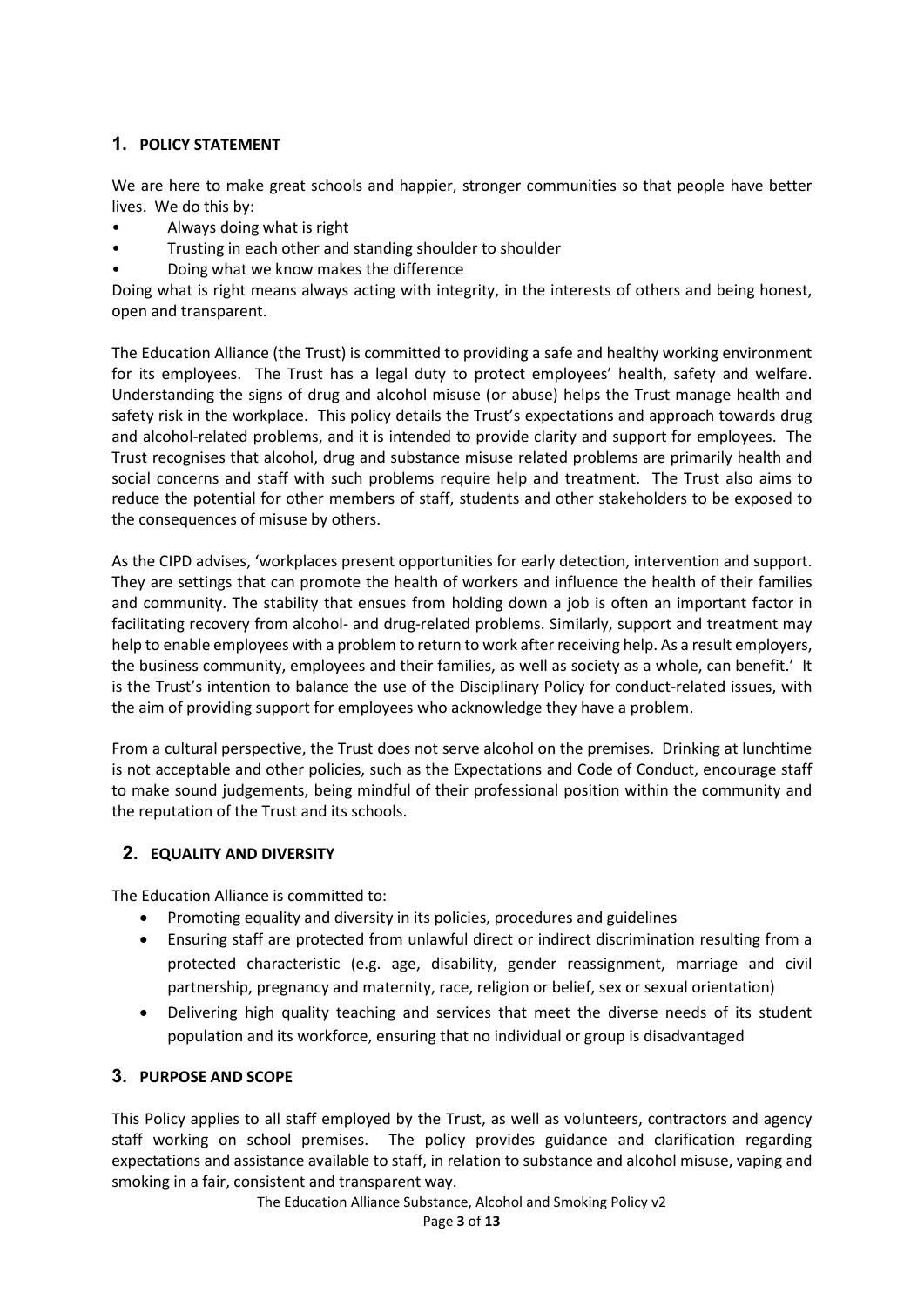# 1. POLICY STATEMENT

We are here to make great schools and happier, stronger communities so that people have better lives. We do this by:

- Always doing what is right
- Trusting in each other and standing shoulder to shoulder
- Doing what we know makes the difference

Doing what is right means always acting with integrity, in the interests of others and being honest, open and transparent.

The Education Alliance (the Trust) is committed to providing a safe and healthy working environment for its employees. The Trust has a legal duty to protect employees' health, safety and welfare. Understanding the signs of drug and alcohol misuse (or abuse) helps the Trust manage health and safety risk in the workplace. This policy details the Trust's expectations and approach towards drug and alcohol-related problems, and it is intended to provide clarity and support for employees. The Trust recognises that alcohol, drug and substance misuse related problems are primarily health and social concerns and staff with such problems require help and treatment. The Trust also aims to reduce the potential for other members of staff, students and other stakeholders to be exposed to the consequences of misuse by others.

As the CIPD advises, 'workplaces present opportunities for early detection, intervention and support. They are settings that can promote the health of workers and influence the health of their families and community. The stability that ensues from holding down a job is often an important factor in facilitating recovery from alcohol- and drug-related problems. Similarly, support and treatment may help to enable employees with a problem to return to work after receiving help. As a result employers, the business community, employees and their families, as well as society as a whole, can benefit.' It is the Trust's intention to balance the use of the Disciplinary Policy for conduct-related issues, with the aim of providing support for employees who acknowledge they have a problem.

From a cultural perspective, the Trust does not serve alcohol on the premises. Drinking at lunchtime is not acceptable and other policies, such as the Expectations and Code of Conduct, encourage staff to make sound judgements, being mindful of their professional position within the community and the reputation of the Trust and its schools.

# 2. EQUALITY AND DIVERSITY

The Education Alliance is committed to:

- Promoting equality and diversity in its policies, procedures and guidelines
- Ensuring staff are protected from unlawful direct or indirect discrimination resulting from a protected characteristic (e.g. age, disability, gender reassignment, marriage and civil partnership, pregnancy and maternity, race, religion or belief, sex or sexual orientation)
- Delivering high quality teaching and services that meet the diverse needs of its student population and its workforce, ensuring that no individual or group is disadvantaged

# 3. PURPOSE AND SCOPE

This Policy applies to all staff employed by the Trust, as well as volunteers, contractors and agency staff working on school premises. The policy provides guidance and clarification regarding expectations and assistance available to staff, in relation to substance and alcohol misuse, vaping and smoking in a fair, consistent and transparent way.

The Education Alliance Substance, Alcohol and Smoking Policy v2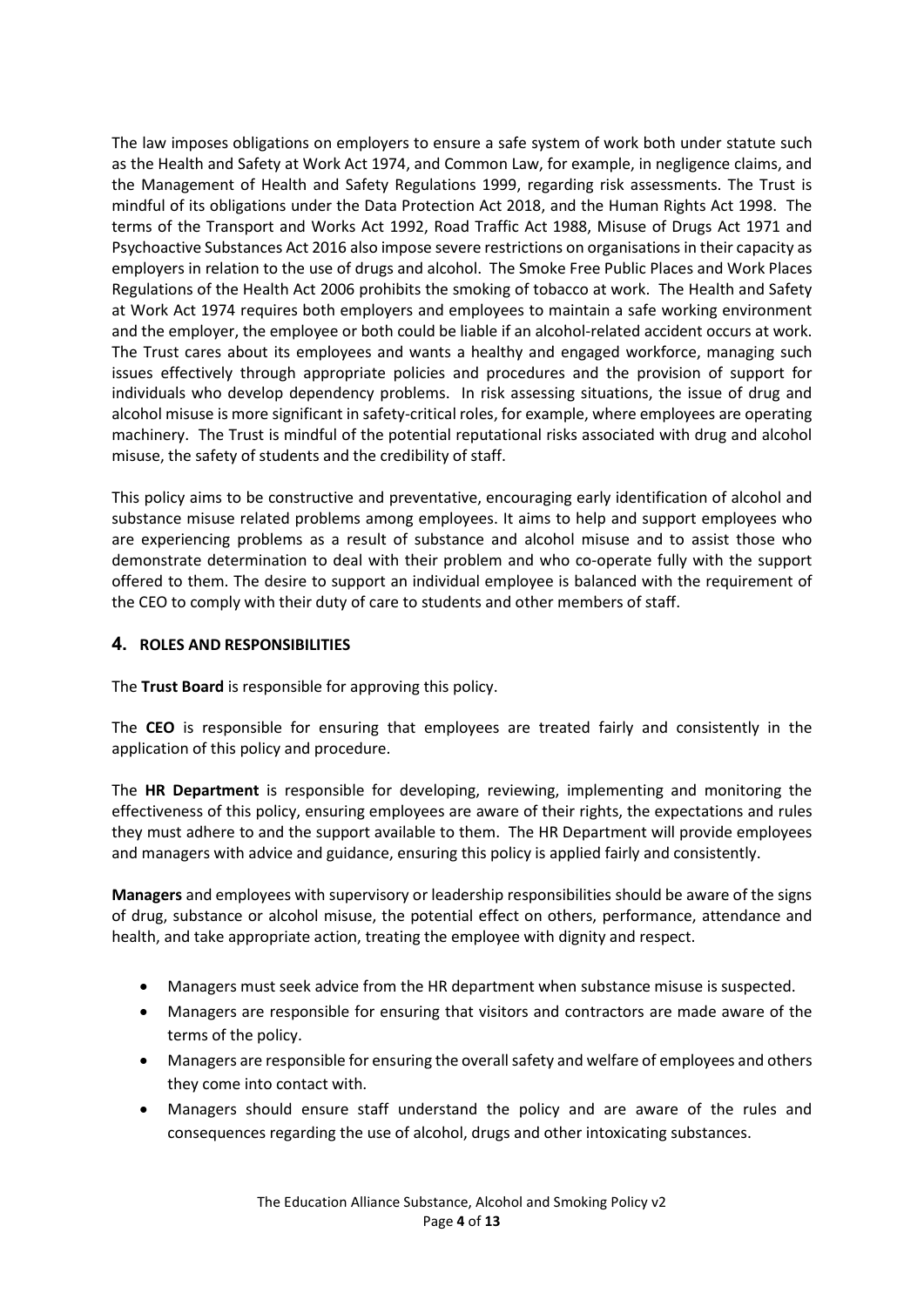The law imposes obligations on employers to ensure a safe system of work both under statute such as the Health and Safety at Work Act 1974, and Common Law, for example, in negligence claims, and the Management of Health and Safety Regulations 1999, regarding risk assessments. The Trust is mindful of its obligations under the Data Protection Act 2018, and the Human Rights Act 1998. The terms of the Transport and Works Act 1992, Road Traffic Act 1988, Misuse of Drugs Act 1971 and Psychoactive Substances Act 2016 also impose severe restrictions on organisations in their capacity as employers in relation to the use of drugs and alcohol. The Smoke Free Public Places and Work Places Regulations of the Health Act 2006 prohibits the smoking of tobacco at work. The Health and Safety at Work Act 1974 requires both employers and employees to maintain a safe working environment and the employer, the employee or both could be liable if an alcohol-related accident occurs at work. The Trust cares about its employees and wants a healthy and engaged workforce, managing such issues effectively through appropriate policies and procedures and the provision of support for individuals who develop dependency problems. In risk assessing situations, the issue of drug and alcohol misuse is more significant in safety-critical roles, for example, where employees are operating machinery. The Trust is mindful of the potential reputational risks associated with drug and alcohol misuse, the safety of students and the credibility of staff.

This policy aims to be constructive and preventative, encouraging early identification of alcohol and substance misuse related problems among employees. It aims to help and support employees who are experiencing problems as a result of substance and alcohol misuse and to assist those who demonstrate determination to deal with their problem and who co-operate fully with the support offered to them. The desire to support an individual employee is balanced with the requirement of the CEO to comply with their duty of care to students and other members of staff.

# 4. ROLES AND RESPONSIBILITIES

The Trust Board is responsible for approving this policy.

The CEO is responsible for ensuring that employees are treated fairly and consistently in the application of this policy and procedure.

The HR Department is responsible for developing, reviewing, implementing and monitoring the effectiveness of this policy, ensuring employees are aware of their rights, the expectations and rules they must adhere to and the support available to them. The HR Department will provide employees and managers with advice and guidance, ensuring this policy is applied fairly and consistently.

Managers and employees with supervisory or leadership responsibilities should be aware of the signs of drug, substance or alcohol misuse, the potential effect on others, performance, attendance and health, and take appropriate action, treating the employee with dignity and respect.

- Managers must seek advice from the HR department when substance misuse is suspected.
- Managers are responsible for ensuring that visitors and contractors are made aware of the terms of the policy.
- Managers are responsible for ensuring the overall safety and welfare of employees and others they come into contact with.
- Managers should ensure staff understand the policy and are aware of the rules and consequences regarding the use of alcohol, drugs and other intoxicating substances.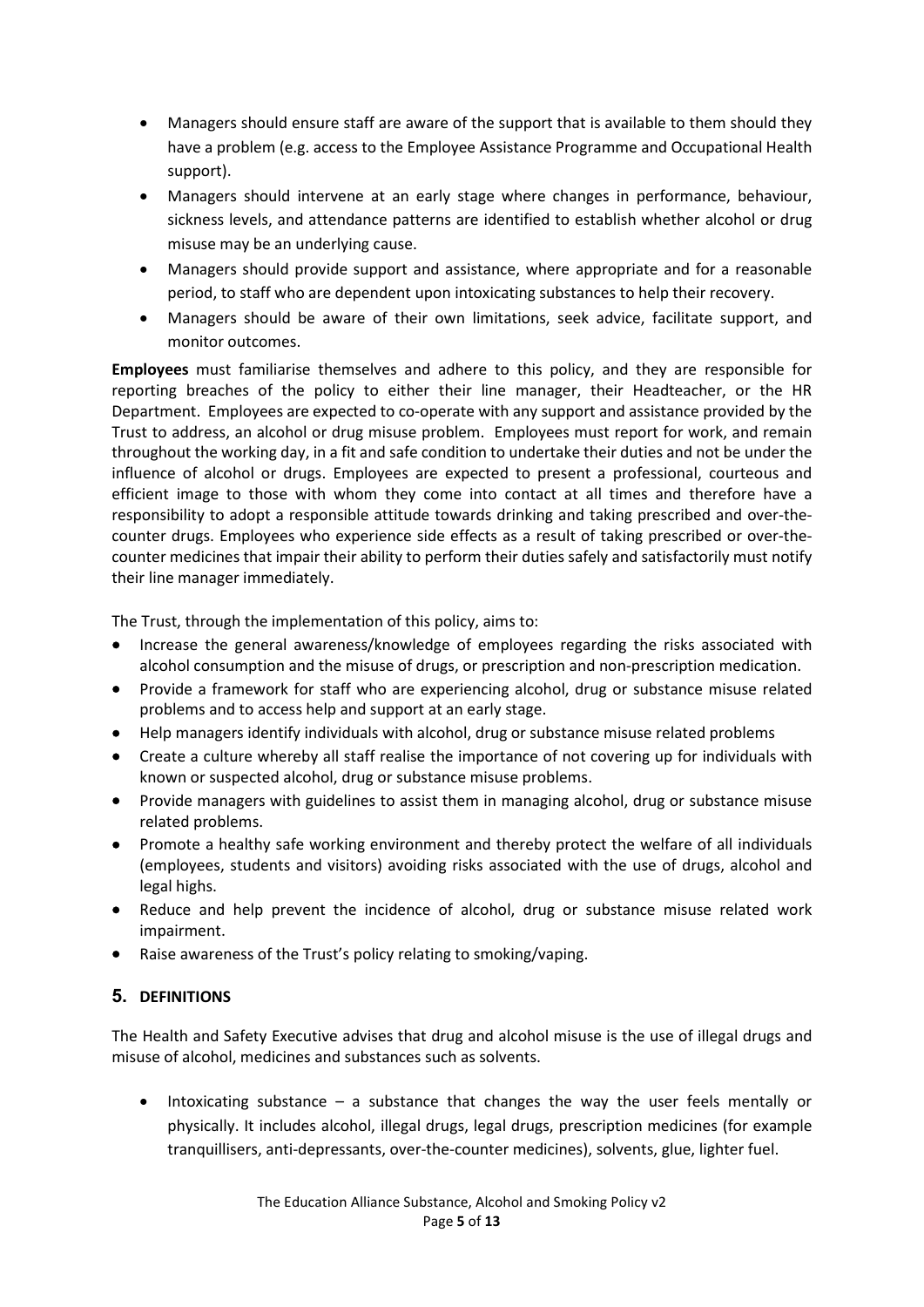- Managers should ensure staff are aware of the support that is available to them should they have a problem (e.g. access to the Employee Assistance Programme and Occupational Health support).
- Managers should intervene at an early stage where changes in performance, behaviour, sickness levels, and attendance patterns are identified to establish whether alcohol or drug misuse may be an underlying cause.
- Managers should provide support and assistance, where appropriate and for a reasonable period, to staff who are dependent upon intoxicating substances to help their recovery.
- Managers should be aware of their own limitations, seek advice, facilitate support, and monitor outcomes.

Employees must familiarise themselves and adhere to this policy, and they are responsible for reporting breaches of the policy to either their line manager, their Headteacher, or the HR Department. Employees are expected to co-operate with any support and assistance provided by the Trust to address, an alcohol or drug misuse problem. Employees must report for work, and remain throughout the working day, in a fit and safe condition to undertake their duties and not be under the influence of alcohol or drugs. Employees are expected to present a professional, courteous and efficient image to those with whom they come into contact at all times and therefore have a responsibility to adopt a responsible attitude towards drinking and taking prescribed and over-thecounter drugs. Employees who experience side effects as a result of taking prescribed or over-thecounter medicines that impair their ability to perform their duties safely and satisfactorily must notify their line manager immediately.

The Trust, through the implementation of this policy, aims to:

- Increase the general awareness/knowledge of employees regarding the risks associated with alcohol consumption and the misuse of drugs, or prescription and non-prescription medication.
- Provide a framework for staff who are experiencing alcohol, drug or substance misuse related problems and to access help and support at an early stage.
- Help managers identify individuals with alcohol, drug or substance misuse related problems
- Create a culture whereby all staff realise the importance of not covering up for individuals with known or suspected alcohol, drug or substance misuse problems.
- Provide managers with guidelines to assist them in managing alcohol, drug or substance misuse related problems.
- Promote a healthy safe working environment and thereby protect the welfare of all individuals (employees, students and visitors) avoiding risks associated with the use of drugs, alcohol and legal highs.
- Reduce and help prevent the incidence of alcohol, drug or substance misuse related work impairment.
- Raise awareness of the Trust's policy relating to smoking/vaping.

# 5. DEFINITIONS

The Health and Safety Executive advises that drug and alcohol misuse is the use of illegal drugs and misuse of alcohol, medicines and substances such as solvents.

 $\bullet$  Intoxicating substance – a substance that changes the way the user feels mentally or physically. It includes alcohol, illegal drugs, legal drugs, prescription medicines (for example tranquillisers, anti-depressants, over-the-counter medicines), solvents, glue, lighter fuel.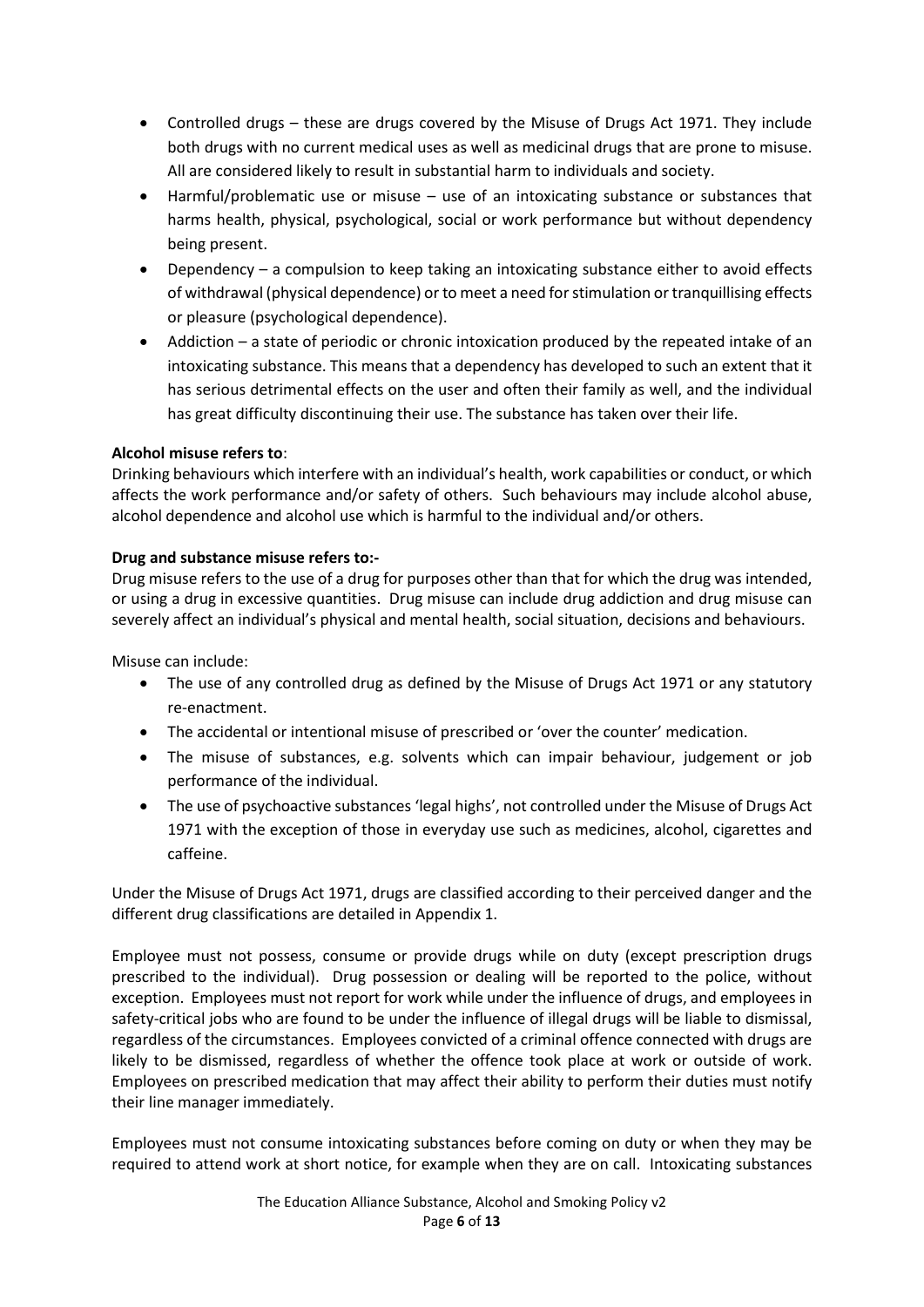- Controlled drugs these are drugs covered by the Misuse of Drugs Act 1971. They include both drugs with no current medical uses as well as medicinal drugs that are prone to misuse. All are considered likely to result in substantial harm to individuals and society.
- Harmful/problematic use or misuse use of an intoxicating substance or substances that harms health, physical, psychological, social or work performance but without dependency being present.
- Dependency a compulsion to keep taking an intoxicating substance either to avoid effects of withdrawal (physical dependence) or to meet a need for stimulation or tranquillising effects or pleasure (psychological dependence).
- Addiction a state of periodic or chronic intoxication produced by the repeated intake of an intoxicating substance. This means that a dependency has developed to such an extent that it has serious detrimental effects on the user and often their family as well, and the individual has great difficulty discontinuing their use. The substance has taken over their life.

# Alcohol misuse refers to:

Drinking behaviours which interfere with an individual's health, work capabilities or conduct, or which affects the work performance and/or safety of others. Such behaviours may include alcohol abuse, alcohol dependence and alcohol use which is harmful to the individual and/or others.

#### Drug and substance misuse refers to:-

Drug misuse refers to the use of a drug for purposes other than that for which the drug was intended, or using a drug in excessive quantities. Drug misuse can include drug addiction and drug misuse can severely affect an individual's physical and mental health, social situation, decisions and behaviours.

Misuse can include:

- The use of any controlled drug as defined by the Misuse of Drugs Act 1971 or any statutory re-enactment.
- The accidental or intentional misuse of prescribed or 'over the counter' medication.
- The misuse of substances, e.g. solvents which can impair behaviour, judgement or job performance of the individual.
- The use of psychoactive substances 'legal highs', not controlled under the Misuse of Drugs Act 1971 with the exception of those in everyday use such as medicines, alcohol, cigarettes and caffeine.

Under the Misuse of Drugs Act 1971, drugs are classified according to their perceived danger and the different drug classifications are detailed in Appendix 1.

Employee must not possess, consume or provide drugs while on duty (except prescription drugs prescribed to the individual). Drug possession or dealing will be reported to the police, without exception. Employees must not report for work while under the influence of drugs, and employees in safety-critical jobs who are found to be under the influence of illegal drugs will be liable to dismissal, regardless of the circumstances. Employees convicted of a criminal offence connected with drugs are likely to be dismissed, regardless of whether the offence took place at work or outside of work. Employees on prescribed medication that may affect their ability to perform their duties must notify their line manager immediately.

Employees must not consume intoxicating substances before coming on duty or when they may be required to attend work at short notice, for example when they are on call. Intoxicating substances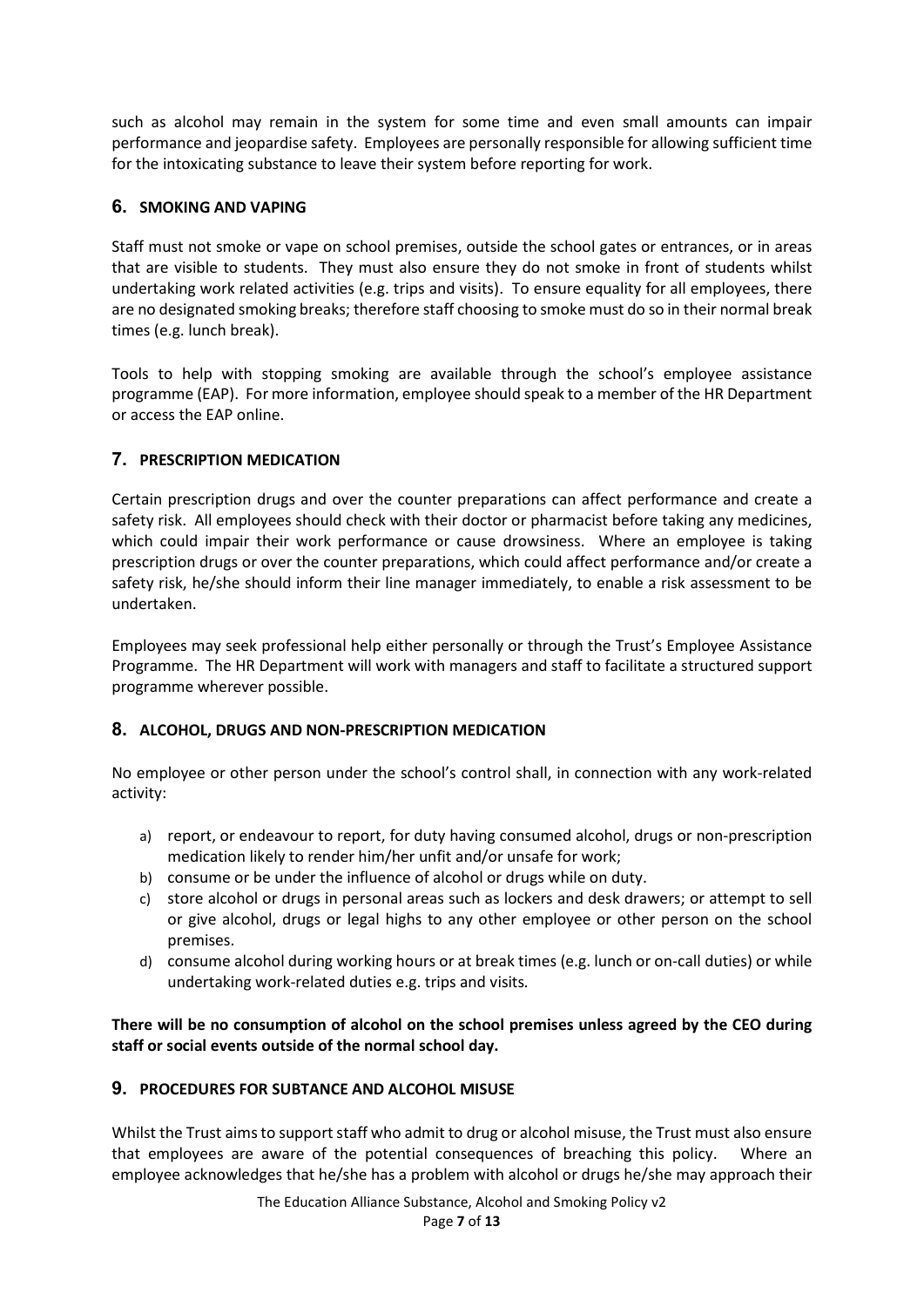such as alcohol may remain in the system for some time and even small amounts can impair performance and jeopardise safety. Employees are personally responsible for allowing sufficient time for the intoxicating substance to leave their system before reporting for work.

# 6. SMOKING AND VAPING

Staff must not smoke or vape on school premises, outside the school gates or entrances, or in areas that are visible to students. They must also ensure they do not smoke in front of students whilst undertaking work related activities (e.g. trips and visits). To ensure equality for all employees, there are no designated smoking breaks; therefore staff choosing to smoke must do so in their normal break times (e.g. lunch break).

Tools to help with stopping smoking are available through the school's employee assistance programme (EAP). For more information, employee should speak to a member of the HR Department or access the EAP online.

# 7. PRESCRIPTION MEDICATION

Certain prescription drugs and over the counter preparations can affect performance and create a safety risk. All employees should check with their doctor or pharmacist before taking any medicines, which could impair their work performance or cause drowsiness. Where an employee is taking prescription drugs or over the counter preparations, which could affect performance and/or create a safety risk, he/she should inform their line manager immediately, to enable a risk assessment to be undertaken.

Employees may seek professional help either personally or through the Trust's Employee Assistance Programme. The HR Department will work with managers and staff to facilitate a structured support programme wherever possible.

# 8. ALCOHOL, DRUGS AND NON-PRESCRIPTION MEDICATION

No employee or other person under the school's control shall, in connection with any work-related activity:

- a) report, or endeavour to report, for duty having consumed alcohol, drugs or non-prescription medication likely to render him/her unfit and/or unsafe for work;
- b) consume or be under the influence of alcohol or drugs while on duty.
- c) store alcohol or drugs in personal areas such as lockers and desk drawers; or attempt to sell or give alcohol, drugs or legal highs to any other employee or other person on the school premises.
- d) consume alcohol during working hours or at break times (e.g. lunch or on-call duties) or while undertaking work-related duties e.g. trips and visits.

There will be no consumption of alcohol on the school premises unless agreed by the CEO during staff or social events outside of the normal school day.

# 9. PROCEDURES FOR SUBTANCE AND ALCOHOL MISUSE

Whilst the Trust aims to support staff who admit to drug or alcohol misuse, the Trust must also ensure that employees are aware of the potential consequences of breaching this policy. Where an employee acknowledges that he/she has a problem with alcohol or drugs he/she may approach their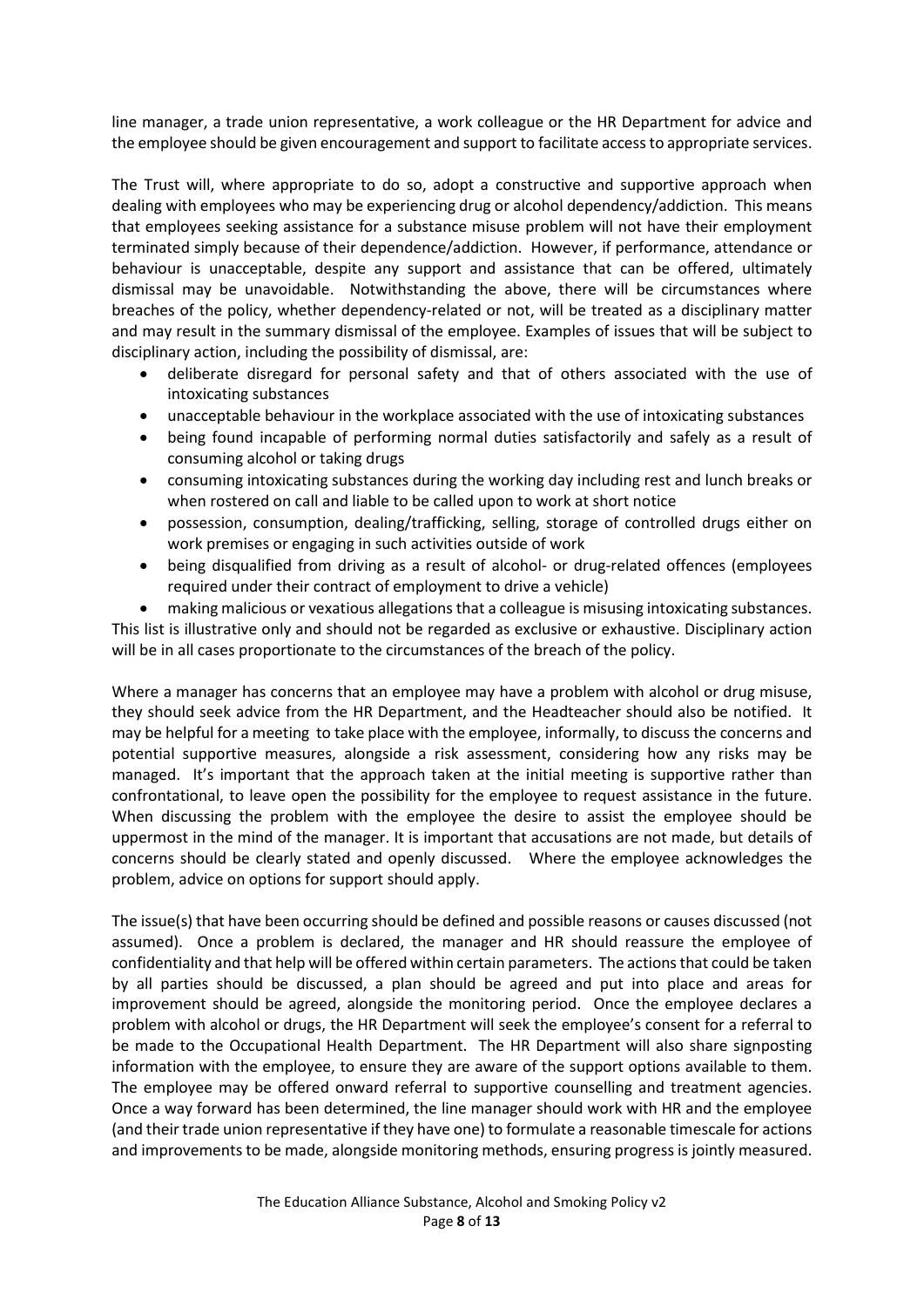line manager, a trade union representative, a work colleague or the HR Department for advice and the employee should be given encouragement and support to facilitate access to appropriate services.

The Trust will, where appropriate to do so, adopt a constructive and supportive approach when dealing with employees who may be experiencing drug or alcohol dependency/addiction. This means that employees seeking assistance for a substance misuse problem will not have their employment terminated simply because of their dependence/addiction. However, if performance, attendance or behaviour is unacceptable, despite any support and assistance that can be offered, ultimately dismissal may be unavoidable. Notwithstanding the above, there will be circumstances where breaches of the policy, whether dependency-related or not, will be treated as a disciplinary matter and may result in the summary dismissal of the employee. Examples of issues that will be subject to disciplinary action, including the possibility of dismissal, are:

- deliberate disregard for personal safety and that of others associated with the use of intoxicating substances
- unacceptable behaviour in the workplace associated with the use of intoxicating substances
- being found incapable of performing normal duties satisfactorily and safely as a result of consuming alcohol or taking drugs
- consuming intoxicating substances during the working day including rest and lunch breaks or when rostered on call and liable to be called upon to work at short notice
- possession, consumption, dealing/trafficking, selling, storage of controlled drugs either on work premises or engaging in such activities outside of work
- being disqualified from driving as a result of alcohol- or drug-related offences (employees required under their contract of employment to drive a vehicle)

 making malicious or vexatious allegations that a colleague is misusing intoxicating substances. This list is illustrative only and should not be regarded as exclusive or exhaustive. Disciplinary action will be in all cases proportionate to the circumstances of the breach of the policy.

Where a manager has concerns that an employee may have a problem with alcohol or drug misuse, they should seek advice from the HR Department, and the Headteacher should also be notified. It may be helpful for a meeting to take place with the employee, informally, to discuss the concerns and potential supportive measures, alongside a risk assessment, considering how any risks may be managed. It's important that the approach taken at the initial meeting is supportive rather than confrontational, to leave open the possibility for the employee to request assistance in the future. When discussing the problem with the employee the desire to assist the employee should be uppermost in the mind of the manager. It is important that accusations are not made, but details of concerns should be clearly stated and openly discussed. Where the employee acknowledges the problem, advice on options for support should apply.

The issue(s) that have been occurring should be defined and possible reasons or causes discussed (not assumed). Once a problem is declared, the manager and HR should reassure the employee of confidentiality and that help will be offered within certain parameters. The actions that could be taken by all parties should be discussed, a plan should be agreed and put into place and areas for improvement should be agreed, alongside the monitoring period. Once the employee declares a problem with alcohol or drugs, the HR Department will seek the employee's consent for a referral to be made to the Occupational Health Department. The HR Department will also share signposting information with the employee, to ensure they are aware of the support options available to them. The employee may be offered onward referral to supportive counselling and treatment agencies. Once a way forward has been determined, the line manager should work with HR and the employee (and their trade union representative if they have one) to formulate a reasonable timescale for actions and improvements to be made, alongside monitoring methods, ensuring progress is jointly measured.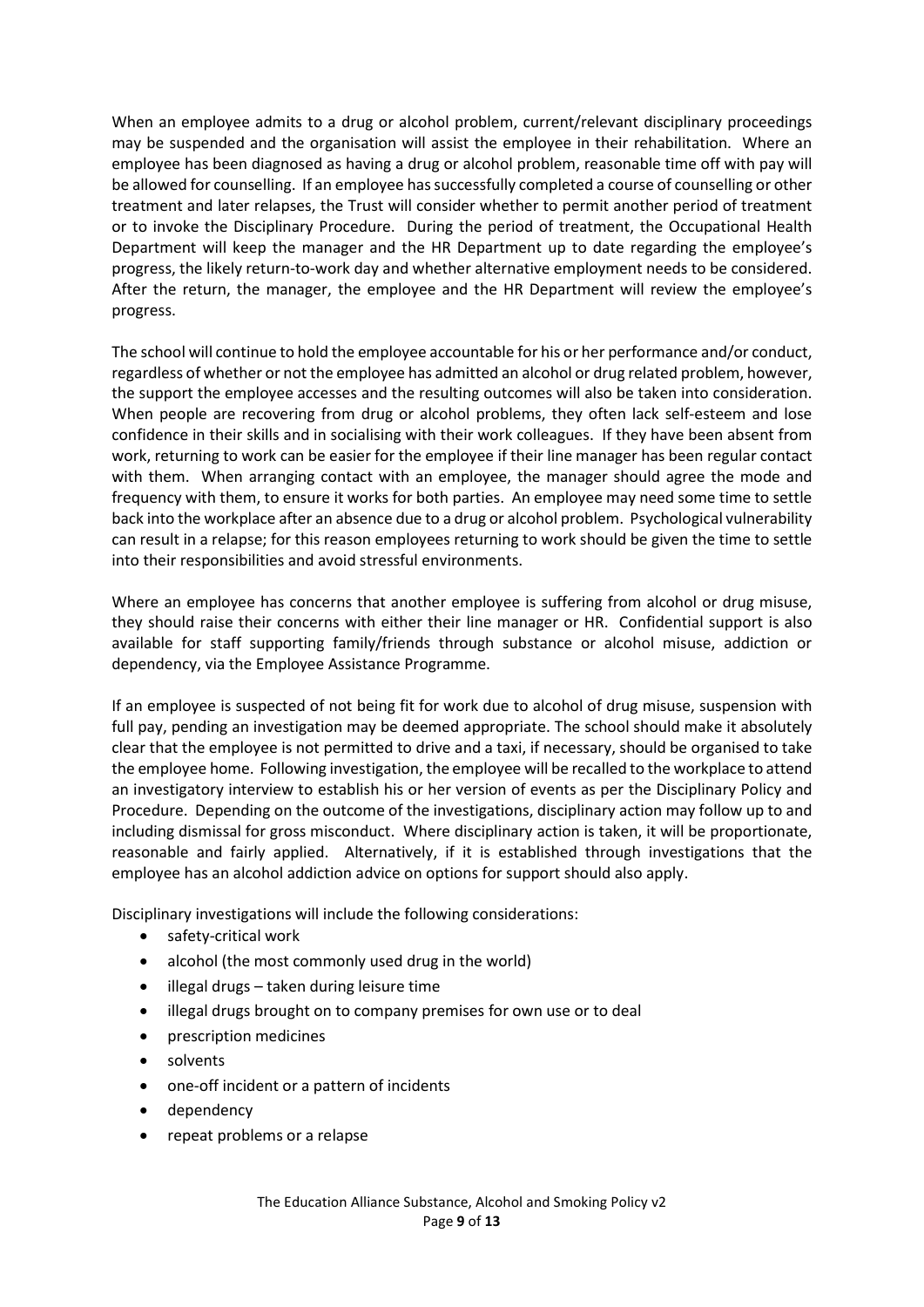When an employee admits to a drug or alcohol problem, current/relevant disciplinary proceedings may be suspended and the organisation will assist the employee in their rehabilitation. Where an employee has been diagnosed as having a drug or alcohol problem, reasonable time off with pay will be allowed for counselling. If an employee has successfully completed a course of counselling or other treatment and later relapses, the Trust will consider whether to permit another period of treatment or to invoke the Disciplinary Procedure. During the period of treatment, the Occupational Health Department will keep the manager and the HR Department up to date regarding the employee's progress, the likely return-to-work day and whether alternative employment needs to be considered. After the return, the manager, the employee and the HR Department will review the employee's progress.

The school will continue to hold the employee accountable for his or her performance and/or conduct, regardless of whether or not the employee has admitted an alcohol or drug related problem, however, the support the employee accesses and the resulting outcomes will also be taken into consideration. When people are recovering from drug or alcohol problems, they often lack self-esteem and lose confidence in their skills and in socialising with their work colleagues. If they have been absent from work, returning to work can be easier for the employee if their line manager has been regular contact with them. When arranging contact with an employee, the manager should agree the mode and frequency with them, to ensure it works for both parties. An employee may need some time to settle back into the workplace after an absence due to a drug or alcohol problem. Psychological vulnerability can result in a relapse; for this reason employees returning to work should be given the time to settle into their responsibilities and avoid stressful environments.

Where an employee has concerns that another employee is suffering from alcohol or drug misuse, they should raise their concerns with either their line manager or HR. Confidential support is also available for staff supporting family/friends through substance or alcohol misuse, addiction or dependency, via the Employee Assistance Programme.

If an employee is suspected of not being fit for work due to alcohol of drug misuse, suspension with full pay, pending an investigation may be deemed appropriate. The school should make it absolutely clear that the employee is not permitted to drive and a taxi, if necessary, should be organised to take the employee home. Following investigation, the employee will be recalled to the workplace to attend an investigatory interview to establish his or her version of events as per the Disciplinary Policy and Procedure. Depending on the outcome of the investigations, disciplinary action may follow up to and including dismissal for gross misconduct. Where disciplinary action is taken, it will be proportionate, reasonable and fairly applied. Alternatively, if it is established through investigations that the employee has an alcohol addiction advice on options for support should also apply.

Disciplinary investigations will include the following considerations:

- safety-critical work
- alcohol (the most commonly used drug in the world)
- illegal drugs taken during leisure time
- illegal drugs brought on to company premises for own use or to deal
- prescription medicines
- solvents
- one-off incident or a pattern of incidents
- dependency
- repeat problems or a relapse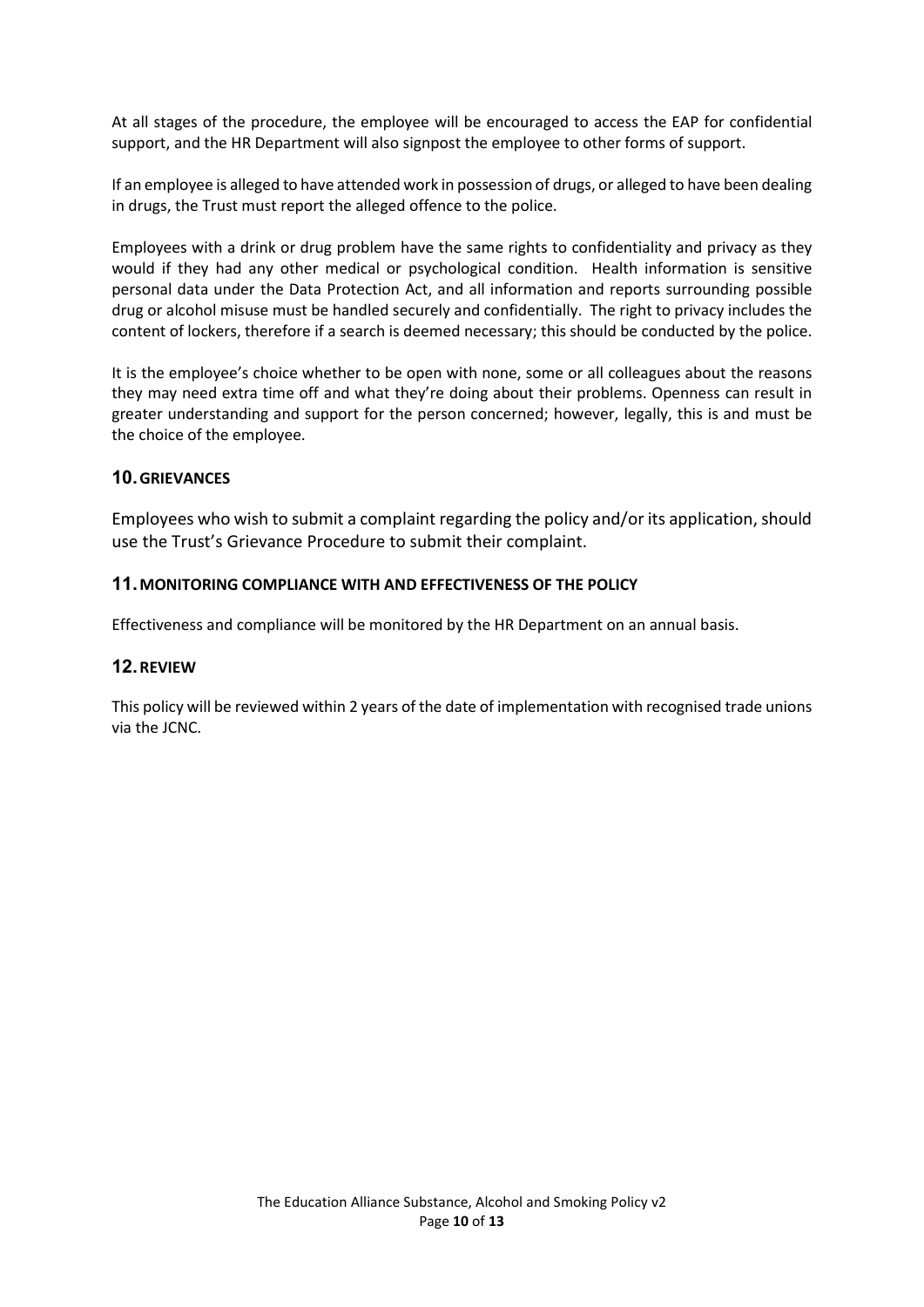At all stages of the procedure, the employee will be encouraged to access the EAP for confidential support, and the HR Department will also signpost the employee to other forms of support.

If an employee is alleged to have attended work in possession of drugs, or alleged to have been dealing in drugs, the Trust must report the alleged offence to the police.

Employees with a drink or drug problem have the same rights to confidentiality and privacy as they would if they had any other medical or psychological condition. Health information is sensitive personal data under the Data Protection Act, and all information and reports surrounding possible drug or alcohol misuse must be handled securely and confidentially. The right to privacy includes the content of lockers, therefore if a search is deemed necessary; this should be conducted by the police.

It is the employee's choice whether to be open with none, some or all colleagues about the reasons they may need extra time off and what they're doing about their problems. Openness can result in greater understanding and support for the person concerned; however, legally, this is and must be the choice of the employee.

# 10. GRIEVANCES

Employees who wish to submit a complaint regarding the policy and/or its application, should use the Trust's Grievance Procedure to submit their complaint.

# 11. MONITORING COMPLIANCE WITH AND EFFECTIVENESS OF THE POLICY

Effectiveness and compliance will be monitored by the HR Department on an annual basis.

# 12. REVIEW

This policy will be reviewed within 2 years of the date of implementation with recognised trade unions via the JCNC.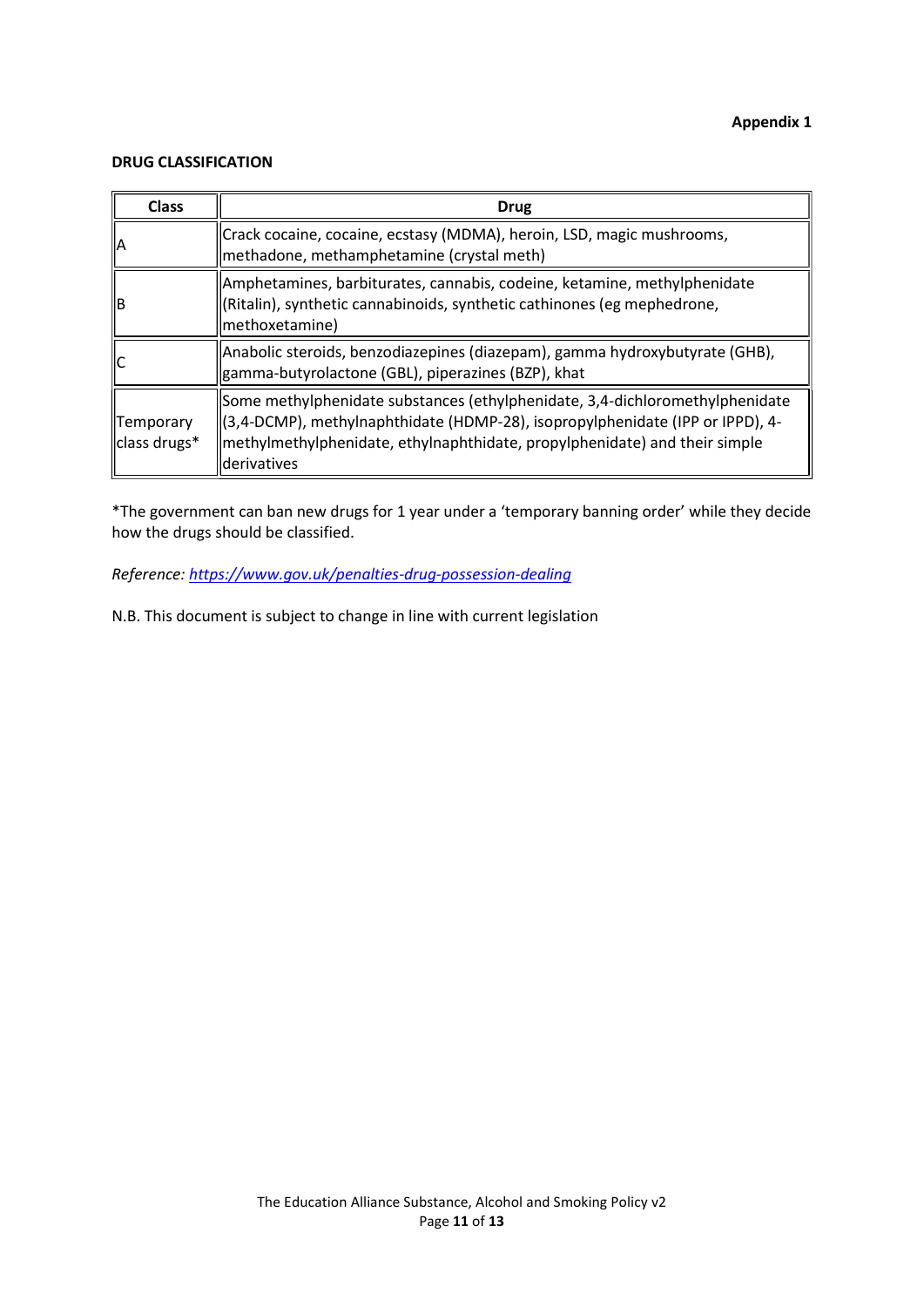### DRUG CLASSIFICATION

| <b>Class</b>              | <b>Drug</b>                                                                                                                                                                                                                                                |
|---------------------------|------------------------------------------------------------------------------------------------------------------------------------------------------------------------------------------------------------------------------------------------------------|
| ΙA                        | Crack cocaine, cocaine, ecstasy (MDMA), heroin, LSD, magic mushrooms,<br>methadone, methamphetamine (crystal meth)                                                                                                                                         |
| ΙB                        | Amphetamines, barbiturates, cannabis, codeine, ketamine, methylphenidate<br>(Ritalin), synthetic cannabinoids, synthetic cathinones (eg mephedrone,<br>methoxetamine)                                                                                      |
|                           | Anabolic steroids, benzodiazepines (diazepam), gamma hydroxybutyrate (GHB),<br>gamma-butyrolactone (GBL), piperazines (BZP), khat                                                                                                                          |
| Temporary<br>class drugs* | Some methylphenidate substances (ethylphenidate, 3,4-dichloromethylphenidate<br>(3,4-DCMP), methylnaphthidate (HDMP-28), isopropylphenidate (IPP or IPPD), 4-<br>methylmethylphenidate, ethylnaphthidate, propylphenidate) and their simple<br>derivatives |

\*The government can ban new drugs for 1 year under a 'temporary banning order' while they decide how the drugs should be classified.

Reference: https://www.gov.uk/penalties-drug-possession-dealing

N.B. This document is subject to change in line with current legislation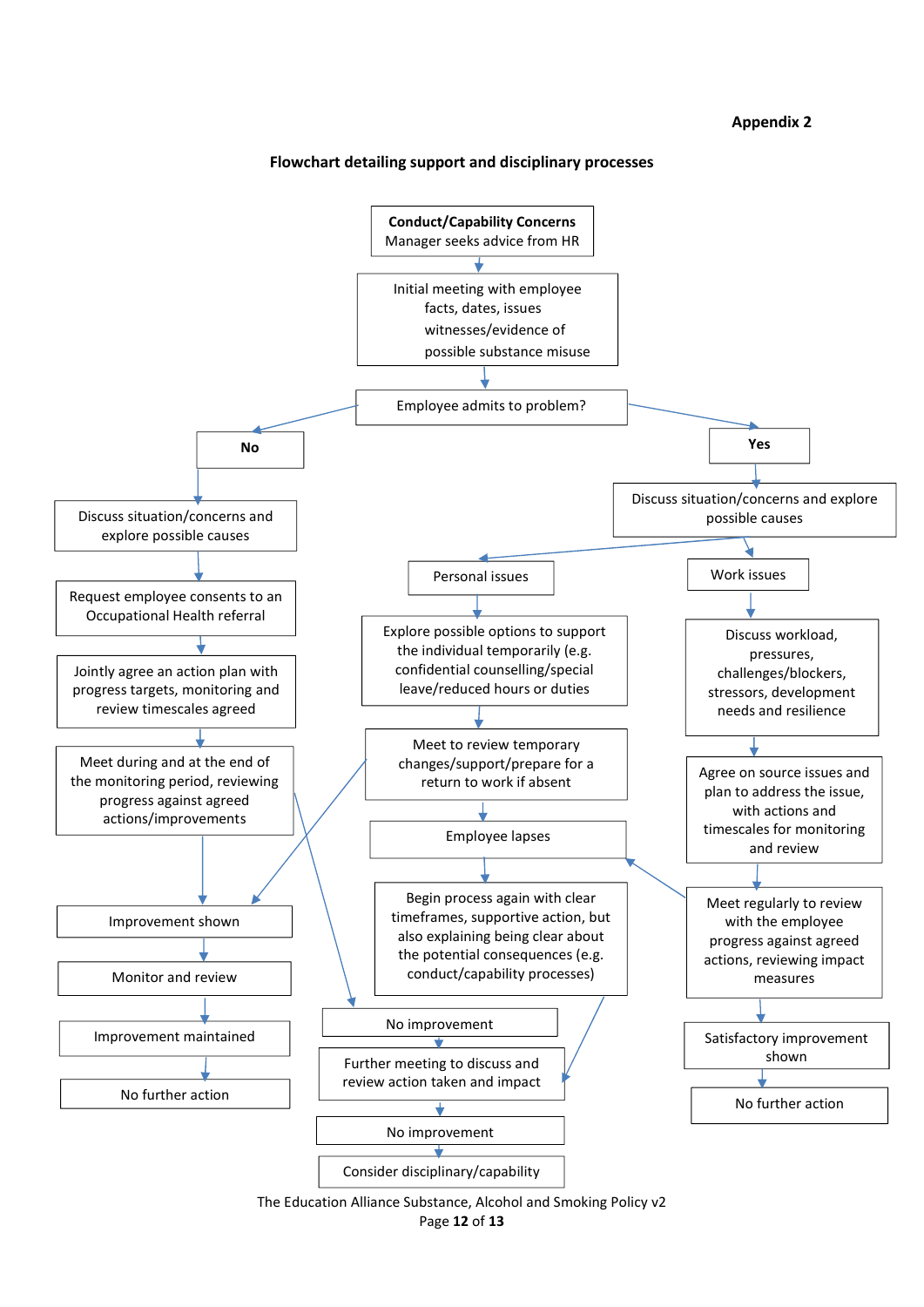#### Appendix 2

#### Flowchart detailing support and disciplinary processes



The Education Alliance Substance, Alcohol and Smoking Policy v2 Page 12 of 13